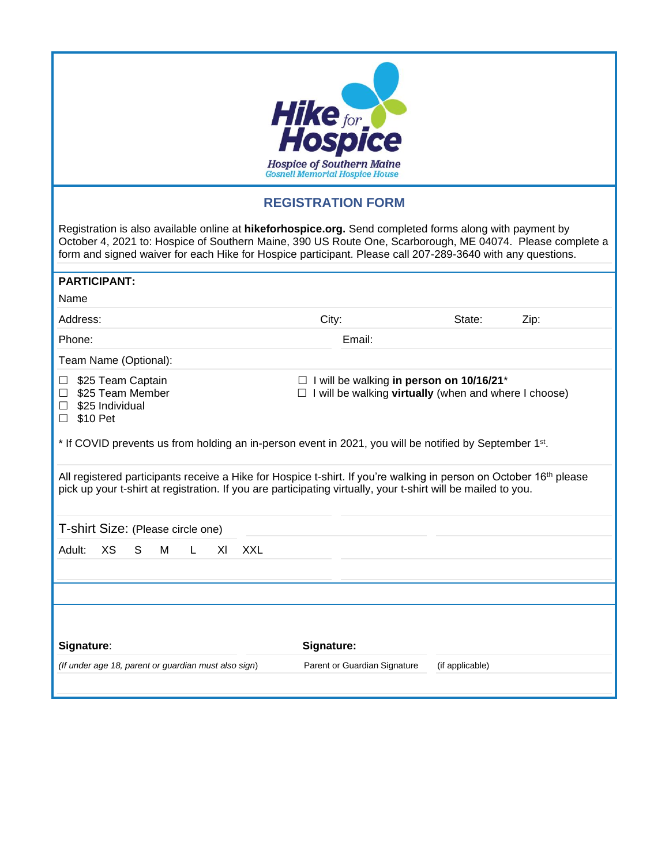| <b>Hike for Act Hospice</b><br><b>Hospice of Southern Maine</b><br><b>Gosnell Memorial Hospice House</b>                                                                                                                                                                                                                           |        |        |      |  |  |
|------------------------------------------------------------------------------------------------------------------------------------------------------------------------------------------------------------------------------------------------------------------------------------------------------------------------------------|--------|--------|------|--|--|
| <b>REGISTRATION FORM</b>                                                                                                                                                                                                                                                                                                           |        |        |      |  |  |
| Registration is also available online at hikeforhospice.org. Send completed forms along with payment by<br>October 4, 2021 to: Hospice of Southern Maine, 390 US Route One, Scarborough, ME 04074. Please complete a<br>form and signed waiver for each Hike for Hospice participant. Please call 207-289-3640 with any questions. |        |        |      |  |  |
| <b>PARTICIPANT:</b>                                                                                                                                                                                                                                                                                                                |        |        |      |  |  |
| Name                                                                                                                                                                                                                                                                                                                               |        |        |      |  |  |
| Address:                                                                                                                                                                                                                                                                                                                           | City:  | State: | Zip: |  |  |
| Phone:                                                                                                                                                                                                                                                                                                                             | Email: |        |      |  |  |
| Team Name (Optional):                                                                                                                                                                                                                                                                                                              |        |        |      |  |  |
| \$25 Team Captain<br>$\Box$ I will be walking in person on 10/16/21*<br>\$25 Team Member<br>$\Box$ I will be walking virtually (when and where I choose)<br>\$25 Individual<br>\$10 Pet<br>$\Box$<br>* If COVID prevents us from holding an in-person event in 2021, you will be notified by September 1 <sup>st</sup> .           |        |        |      |  |  |
|                                                                                                                                                                                                                                                                                                                                    |        |        |      |  |  |
| All registered participants receive a Hike for Hospice t-shirt. If you're walking in person on October 16 <sup>th</sup> please<br>pick up your t-shirt at registration. If you are participating virtually, your t-shirt will be mailed to you.                                                                                    |        |        |      |  |  |
| T-shirt Size: (Please circle one)                                                                                                                                                                                                                                                                                                  |        |        |      |  |  |
| <b>XXL</b><br>Adult:<br>XS<br>S<br>M<br>XI<br>L                                                                                                                                                                                                                                                                                    |        |        |      |  |  |
|                                                                                                                                                                                                                                                                                                                                    |        |        |      |  |  |
|                                                                                                                                                                                                                                                                                                                                    |        |        |      |  |  |
| Signature:<br>Signature:                                                                                                                                                                                                                                                                                                           |        |        |      |  |  |
| (If under age 18, parent or guardian must also sign)<br>Parent or Guardian Signature<br>(if applicable)                                                                                                                                                                                                                            |        |        |      |  |  |